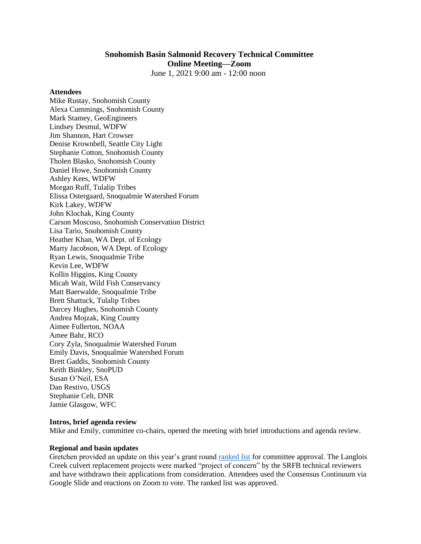# **Snohomish Basin Salmonid Recovery Technical Committee Online Meeting—Zoom**

June 1, 2021 9:00 am - 12:00 noon

#### **Attendees**

Mike Rustay, Snohomish County Alexa Cummings, Snohomish County Mark Stamey, GeoEngineers Lindsey Desmul, WDFW Jim Shannon, Hart Crowser Denise Krownbell, Seattle City Light Stephanie Cotton, Snohomish County Tholen Blasko, Snohomish County Daniel Howe, Snohomish County Ashley Kees, WDFW Morgan Ruff, Tulalip Tribes Elissa Ostergaard, Snoqualmie Watershed Forum Kirk Lakey, WDFW John Klochak, King County Carson Moscoso, Snohomish Conservation District Lisa Tario, Snohomish County Heather Khan, WA Dept. of Ecology Marty Jacobson, WA Dept. of Ecology Ryan Lewis, Snoqualmie Tribe Kevin Lee, WDFW Kollin Higgins, King County Micah Wait, Wild Fish Conservancy Matt Baerwalde, Snoqualmie Tribe Brett Shattuck, Tulalip Tribes Darcey Hughes, Snohomish County Andrea Mojzak, King County Aimee Fullerton, NOAA Amee Bahr, RCO Cory Zyla, Snoqualmie Watershed Forum Emily Davis, Snoqualmie Watershed Forum Brett Gaddis, Snohomish County Keith Binkley, SnoPUD Susan O'Neil, ESA Dan Restivo, USGS Stephanie Celt, DNR Jamie Glasgow, WFC

### **Intros, brief agenda review**

Mike and Emily, committee co-chairs, opened the meeting with brief introductions and agenda review.

### **Regional and basin updates**

Gretchen provided an update on this year's grant round [ranked list](https://snohomishcountywa.gov/DocumentCenter/View/82294/2021-Ranked-List) for committee approval. The Langlois Creek culvert replacement projects were marked "project of concern" by the SRFB technical reviewers and have withdrawn their applications from consideration. Attendees used the Consensus Continuum via Google Slide and reactions on Zoom to vote. The ranked list was approved.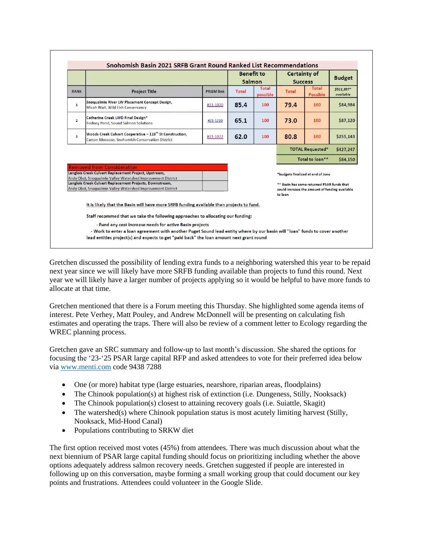| <b>RANK</b>    |                                                                                                                                                                                                                                                                                      |                   | <b>Benefit to</b><br>Salmon |                   | <b>Certainty of</b><br><b>Success</b>                                                                                                        |                          | <b>Budget</b>           |
|----------------|--------------------------------------------------------------------------------------------------------------------------------------------------------------------------------------------------------------------------------------------------------------------------------------|-------------------|-----------------------------|-------------------|----------------------------------------------------------------------------------------------------------------------------------------------|--------------------------|-------------------------|
|                | <b>Project Title</b>                                                                                                                                                                                                                                                                 | <b>PRISM link</b> | Total                       | Total<br>possible | Total                                                                                                                                        | Total<br><b>Possible</b> | \$511,397*<br>available |
| $\mathbf{1}$   | Snoqualmie River LW Placement Concept Design,<br>Micah Wait, Wild Fish Conservancy                                                                                                                                                                                                   | #21-1070          | 85.4                        | 100               | 79.4                                                                                                                                         | 100                      | \$84,984                |
| $\overline{2}$ | Catherine Creek LWD Final Design*<br>Rodney Pond, Sound Salmon Solutions                                                                                                                                                                                                             | #21-1210          | 65.1                        | 100               | 73.0                                                                                                                                         | 100                      | \$87,120                |
| 3              | Woods Creek Culvert Cooperative - 118 <sup>th</sup> St Construction,<br>Carson Moscoso, Snohomish Conservation District                                                                                                                                                              | #21-1072          | 62.0                        | 100               | 80.8                                                                                                                                         | 100                      | \$255,143               |
|                |                                                                                                                                                                                                                                                                                      |                   |                             |                   | <b>TOTAL Requested*</b><br>\$427,247                                                                                                         |                          |                         |
|                |                                                                                                                                                                                                                                                                                      |                   |                             |                   | Total to loan**                                                                                                                              |                          | \$84,150                |
|                | <b>Removed from Consideration</b><br>Langlois Creek Culvert Replacement Project, Upstream,<br>Andy Obst, Snoqualmie Valley Watershed Improvement District<br>Langlois Creek Culvert Replacement Projects, Downstream,<br>Andy Obst, Snoqualmie Valley Watershed Improvement District |                   |                             |                   | *budgets finalized at end of June<br>** Basin has some returned PSAR funds that<br>could increase the amount of funding available<br>to loan |                          |                         |
|                |                                                                                                                                                                                                                                                                                      |                   |                             |                   |                                                                                                                                              |                          |                         |
|                | It is likely that the Basin will have more SRFB funding available than projects to fund.                                                                                                                                                                                             |                   |                             |                   |                                                                                                                                              |                          |                         |

Gretchen discussed the possibility of lending extra funds to a neighboring watershed this year to be repaid next year since we will likely have more SRFB funding available than projects to fund this round. Next year we will likely have a larger number of projects applying so it would be helpful to have more funds to allocate at that time.

Gretchen mentioned that there is a Forum meeting this Thursday. She highlighted some agenda items of interest. Pete Verhey, Matt Pouley, and Andrew McDonnell will be presenting on calculating fish estimates and operating the traps. There will also be review of a comment letter to Ecology regarding the WREC planning process.

Gretchen gave an SRC summary and follow-up to last month's discussion. She shared the options for focusing the '23-'25 PSAR large capital RFP and asked attendees to vote for their preferred idea below via [www.menti.com](http://www.menti.com/) code 9438 7288

- One (or more) habitat type (large estuaries, nearshore, riparian areas, floodplains)
- The Chinook population(s) at highest risk of extinction (i.e. Dungeness, Stilly, Nooksack)
- The Chinook population(s) closest to attaining recovery goals (i.e. Suiattle, Skagit)
- The watershed(s) where Chinook population status is most acutely limiting harvest (Stilly, Nooksack, Mid-Hood Canal)
- Populations contributing to SRKW diet

The first option received most votes (45%) from attendees. There was much discussion about what the next biennium of PSAR large capital funding should focus on prioritizing including whether the above options adequately address salmon recovery needs. Gretchen suggested if people are interested in following up on this conversation, maybe forming a small working group that could document our key points and frustrations. Attendees could volunteer in the Google Slide.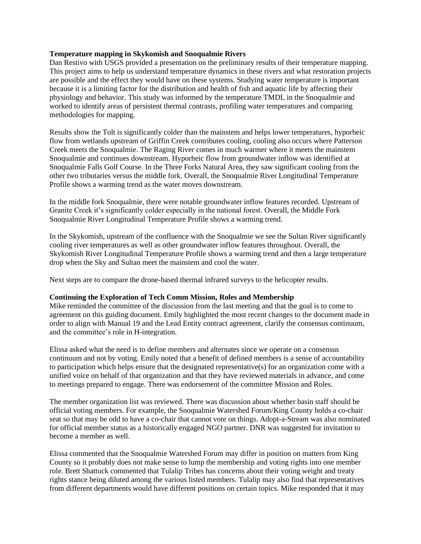## **Temperature mapping in Skykomish and Snoqualmie Rivers**

Dan Restivo with USGS provided a presentation on the preliminary results of their temperature mapping. This project aims to help us understand temperature dynamics in these rivers and what restoration projects are possible and the effect they would have on these systems. Studying water temperature is important because it is a limiting factor for the distribution and health of fish and aquatic life by affecting their physiology and behavior. This study was informed by the temperature TMDL in the Snoqualmie and worked to identify areas of persistent thermal contrasts, profiling water temperatures and comparing methodologies for mapping.

Results show the Tolt is significantly colder than the mainstem and helps lower temperatures, hyporheic flow from wetlands upstream of Griffin Creek contributes cooling, cooling also occurs where Patterson Creek meets the Snoqualmie. The Raging River comes in much warmer where it meets the mainstem Snoqualmie and continues downstream. Hyporheic flow from groundwater inflow was identified at Snoqualmie Falls Golf Course. In the Three Forks Natural Area, they saw significant cooling from the other two tributaries versus the middle fork. Overall, the Snoqualmie River Longitudinal Temperature Profile shows a warming trend as the water moves downstream.

In the middle fork Snoqualmie, there were notable groundwater inflow features recorded. Upstream of Granite Creek it's significantly colder especially in the national forest. Overall, the Middle Fork Snoqualmie River Longitudinal Temperature Profile shows a warming trend.

In the Skykomish, upstream of the confluence with the Snoqualmie we see the Sultan River significantly cooling river temperatures as well as other groundwater inflow features throughout. Overall, the Skykomish River Longitudinal Temperature Profile shows a warming trend and then a large temperature drop when the Sky and Sultan meet the mainstem and cool the water.

Next steps are to compare the drone-based thermal infrared surveys to the helicopter results.

## **Continuing the Exploration of Tech Comm Mission, Roles and Membership**

Mike reminded the committee of the discussion from the last meeting and that the goal is to come to agreement on this guiding document. Emily highlighted the most recent changes to the document made in order to align with Manual 19 and the Lead Entity contract agreement, clarify the consensus continuum, and the committee's role in H-integration.

Elissa asked what the need is to define members and alternates since we operate on a consensus continuum and not by voting. Emily noted that a benefit of defined members is a sense of accountability to participation which helps ensure that the designated representative(s) for an organization come with a unified voice on behalf of that organization and that they have reviewed materials in advance, and come to meetings prepared to engage. There was endorsement of the committee Mission and Roles.

The member organization list was reviewed. There was discussion about whether basin staff should be official voting members. For example, the Snoqualmie Watershed Forum/King County holds a co-chair seat so that may be odd to have a co-chair that cannot vote on things. Adopt-a-Stream was also nominated for official member status as a historically engaged NGO partner. DNR was suggested for invitation to become a member as well.

Elissa commented that the Snoqualmie Watershed Forum may differ in position on matters from King County so it probably does not make sense to lump the membership and voting rights into one member role. Brett Shattuck commented that Tulalip Tribes has concerns about their voting weight and treaty rights stance being diluted among the various listed members. Tulalip may also find that representatives from different departments would have different positions on certain topics. Mike responded that it may